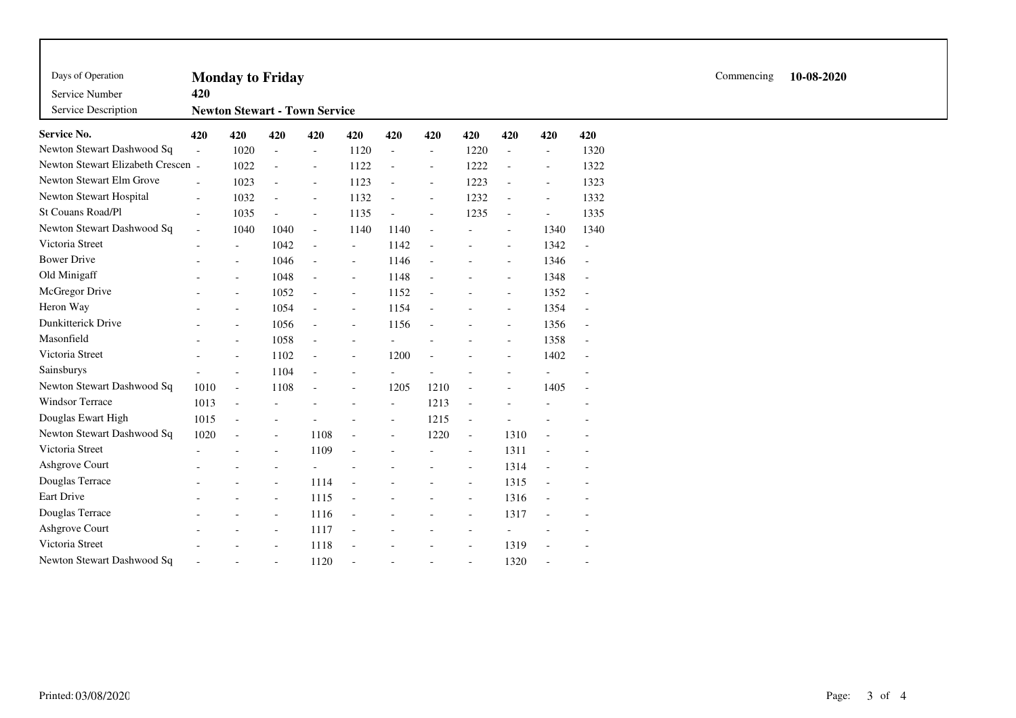| Days of Operation<br>Service Number<br>Service Description<br><b>Service No.</b> | 420                      | <b>Monday to Friday</b><br><b>Newton Stewart - Town Service</b> |                          | Commencing               | 10-08-2020               |                          |                          |                          |                          |                          |                          |  |  |
|----------------------------------------------------------------------------------|--------------------------|-----------------------------------------------------------------|--------------------------|--------------------------|--------------------------|--------------------------|--------------------------|--------------------------|--------------------------|--------------------------|--------------------------|--|--|
|                                                                                  | 420                      | 420                                                             | 420                      | 420                      | 420                      | 420                      | 420                      | 420                      | 420                      | 420                      | 420                      |  |  |
| Newton Stewart Dashwood Sq                                                       | $\overline{a}$           | 1020                                                            | $\overline{a}$           | $\overline{\phantom{a}}$ | 1120                     | $\overline{\phantom{a}}$ | $\overline{\phantom{a}}$ | 1220                     | $\blacksquare$           | $\overline{\phantom{a}}$ | 1320                     |  |  |
| Newton Stewart Elizabeth Crescen                                                 | $\sim$                   | 1022                                                            | $\overline{\phantom{a}}$ | $\overline{\phantom{a}}$ | 1122                     | $\overline{\phantom{a}}$ | $\overline{\phantom{a}}$ | 1222                     | $\overline{\phantom{a}}$ | $\overline{\phantom{a}}$ | 1322                     |  |  |
| Newton Stewart Elm Grove                                                         | $\overline{a}$           | 1023                                                            | $\overline{\phantom{a}}$ | $\bar{a}$                | 1123                     | $\overline{\phantom{a}}$ | $\blacksquare$           | 1223                     | $\sim$                   | $\overline{\phantom{a}}$ | 1323                     |  |  |
| Newton Stewart Hospital                                                          | $\sim$                   | 1032                                                            |                          | $\overline{\phantom{a}}$ | 1132                     | $\blacksquare$           | $\overline{\phantom{a}}$ | 1232                     | $\sim$                   | $\overline{\phantom{a}}$ | 1332                     |  |  |
| St Couans Road/Pl                                                                | $\overline{\phantom{a}}$ | 1035                                                            |                          | $\overline{\phantom{a}}$ | 1135                     | $\bar{a}$                | $\overline{\phantom{a}}$ | 1235                     | $\overline{\phantom{a}}$ | $\overline{\phantom{a}}$ | 1335                     |  |  |
| Newton Stewart Dashwood Sq                                                       | $\sim$                   | 1040                                                            | 1040                     | $\mathcal{L}$            | 1140                     | 1140                     | $\sim$                   |                          | $\overline{\phantom{a}}$ | 1340                     | 1340                     |  |  |
| Victoria Street                                                                  |                          | $\overline{\phantom{a}}$                                        | 1042                     | $\blacksquare$           | $\overline{\phantom{a}}$ | 1142                     |                          |                          | $\overline{\phantom{a}}$ | 1342                     | $\overline{\phantom{a}}$ |  |  |
| <b>Bower Drive</b>                                                               |                          | $\overline{\phantom{a}}$                                        | 1046                     | $\blacksquare$           | $\overline{\phantom{a}}$ | 1146                     | $\overline{a}$           |                          | $\overline{\phantom{a}}$ | 1346                     | $\overline{\phantom{a}}$ |  |  |
| Old Minigaff                                                                     |                          | $\overline{a}$                                                  | 1048                     | $\overline{\phantom{a}}$ | $\overline{\phantom{a}}$ | 1148                     | $\blacksquare$           |                          | $\blacksquare$           | 1348                     | $\overline{\phantom{a}}$ |  |  |
| McGregor Drive                                                                   |                          | $\overline{\phantom{a}}$                                        | 1052                     | $\overline{\phantom{a}}$ | $\overline{\phantom{a}}$ | 1152                     |                          |                          | $\overline{\phantom{a}}$ | 1352                     | $\overline{\phantom{a}}$ |  |  |
| Heron Way                                                                        |                          | $\overline{\phantom{a}}$                                        | 1054                     | $\bar{a}$                | $\overline{\phantom{a}}$ | 1154                     | $\overline{\phantom{a}}$ |                          | $\overline{\phantom{a}}$ | 1354                     | $\overline{\phantom{a}}$ |  |  |
| Dunkitterick Drive                                                               |                          | $\overline{a}$                                                  | 1056                     | $\overline{\phantom{a}}$ | $\bar{a}$                | 1156                     | L.                       |                          | $\overline{\phantom{a}}$ | 1356                     | $\overline{\phantom{a}}$ |  |  |
| Masonfield                                                                       |                          | $\overline{\phantom{a}}$                                        | 1058                     | $\overline{a}$           | $\overline{a}$           |                          |                          |                          | $\overline{\phantom{a}}$ | 1358                     | $\overline{\phantom{a}}$ |  |  |
| Victoria Street                                                                  |                          | $\overline{\phantom{a}}$                                        | 1102                     | $\overline{\phantom{a}}$ | $\blacksquare$           | 1200                     |                          |                          | $\overline{\phantom{a}}$ | 1402                     | $\overline{\phantom{a}}$ |  |  |
| Sainsburys                                                                       |                          | $\overline{a}$                                                  | 1104                     | $\bar{a}$                | $\overline{a}$           |                          |                          |                          |                          |                          |                          |  |  |
| Newton Stewart Dashwood Sq                                                       | 1010                     | $\overline{\phantom{a}}$                                        | 1108                     | $\overline{\phantom{a}}$ | $\overline{\phantom{a}}$ | 1205                     | 1210                     | $\sim$                   | $\overline{a}$           | 1405                     | $\overline{\phantom{a}}$ |  |  |
| Windsor Terrace                                                                  | 1013                     | $\sim$                                                          |                          |                          |                          | $\sim$                   | 1213                     | $\sim$                   |                          |                          |                          |  |  |
| Douglas Ewart High                                                               | 1015                     | $\overline{\phantom{a}}$                                        |                          |                          |                          | $\overline{\phantom{a}}$ | 1215                     | $\blacksquare$           |                          |                          |                          |  |  |
| Newton Stewart Dashwood Sq                                                       | 1020                     | $\overline{a}$                                                  |                          | 1108                     |                          |                          | 1220                     | $\blacksquare$           | 1310                     |                          |                          |  |  |
| Victoria Street                                                                  |                          |                                                                 |                          | 1109                     | $\overline{a}$           |                          |                          | $\overline{\phantom{a}}$ | 1311                     |                          |                          |  |  |
| Ashgrove Court                                                                   |                          |                                                                 |                          |                          |                          |                          |                          | $\sim$                   | 1314                     | $\overline{\phantom{a}}$ | $\overline{\phantom{a}}$ |  |  |
| Douglas Terrace                                                                  |                          |                                                                 |                          | 1114                     | $\overline{a}$           |                          |                          | $\overline{\phantom{a}}$ | 1315                     |                          |                          |  |  |
| Eart Drive                                                                       |                          |                                                                 |                          | 1115                     |                          |                          |                          | $\overline{\phantom{a}}$ | 1316                     |                          |                          |  |  |
| Douglas Terrace                                                                  |                          |                                                                 | $\overline{\phantom{a}}$ | 1116                     |                          |                          |                          |                          | 1317                     |                          |                          |  |  |
| Ashgrove Court                                                                   |                          |                                                                 |                          | 1117                     |                          |                          |                          |                          | -                        |                          |                          |  |  |
| Victoria Street                                                                  |                          |                                                                 |                          | 1118                     |                          |                          |                          | $\overline{\phantom{a}}$ | 1319                     |                          |                          |  |  |
| Newton Stewart Dashwood Sq                                                       |                          |                                                                 |                          | 1120                     | $\overline{a}$           |                          |                          |                          | 1320                     |                          | $\overline{\phantom{a}}$ |  |  |

Printed:03/08/2020